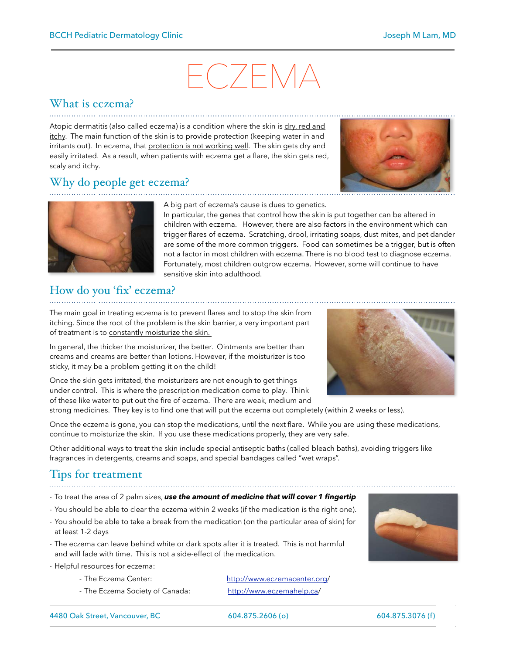# ECZEMA

# What is eczema?

Atopic dermatitis (also called eczema) is a condition where the skin is dry, red and itchy. The main function of the skin is to provide protection (keeping water in and irritants out). In eczema, that protection is not working well. The skin gets dry and easily irritated. As a result, when patients with eczema get a flare, the skin gets red, scaly and itchy.

# Why do people get eczema?





A big part of eczema's cause is dues to genetics.

In particular, the genes that control how the skin is put together can be altered in children with eczema. However, there are also factors in the environment which can trigger flares of eczema. Scratching, drool, irritating soaps, dust mites, and pet dander are some of the more common triggers. Food can sometimes be a trigger, but is often not a factor in most children with eczema. There is no blood test to diagnose eczema. Fortunately, most children outgrow eczema. However, some will continue to have sensitive skin into adulthood.

#### How do you 'fix' eczema?

The main goal in treating eczema is to prevent flares and to stop the skin from itching. Since the root of the problem is the skin barrier, a very important part of treatment is to constantly moisturize the skin.

In general, the thicker the moisturizer, the better. Ointments are better than creams and creams are better than lotions. However, if the moisturizer is too sticky, it may be a problem getting it on the child!

Once the skin gets irritated, the moisturizers are not enough to get things under control. This is where the prescription medication come to play. Think of these like water to put out the fire of eczema. There are weak, medium and

strong medicines. They key is to find one that will put the eczema out completely (within 2 weeks or less).

Once the eczema is gone, you can stop the medications, until the next flare. While you are using these medications, continue to moisturize the skin. If you use these medications properly, they are very safe.

Other additional ways to treat the skin include special antiseptic baths (called bleach baths), avoiding triggers like fragrances in detergents, creams and soaps, and special bandages called "wet wraps".

# Tips for treatment

- To treat the area of 2 palm sizes, *use the amount of medicine that will cover 1 fingertip*
- You should be able to clear the eczema within 2 weeks (if the medication is the right one).
- You should be able to take a break from the medication (on the particular area of skin) for at least 1-2 days
- The eczema can leave behind white or dark spots after it is treated. This is not harmful and will fade with time. This is not a side-effect of the medication.
- Helpful resources for eczema:
	-
	- The Eczema Society of Canada: [http://www.eczemahelp.ca/](http://www.eczemahelp.ca)

- The Eczema Center: [http://www.eczemacenter.org/](http://www.eczemacenter.org)



4480 Oak Street, Vancouver, BC 604.875.2606 (o) 604.875.3076 (f)